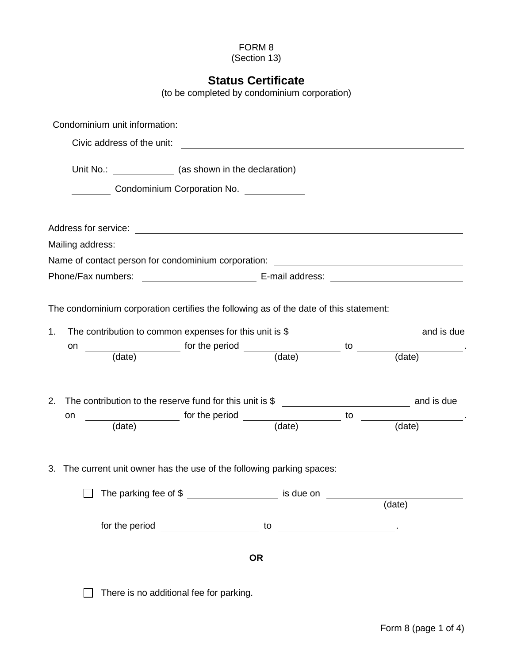## FORM 8

(Section 13)

## **Status Certificate**

(to be completed by condominium corporation)

|          | Condominium unit information:                                                         |                                                          |                               |                                      |                                                                                             |
|----------|---------------------------------------------------------------------------------------|----------------------------------------------------------|-------------------------------|--------------------------------------|---------------------------------------------------------------------------------------------|
|          |                                                                                       |                                                          |                               |                                      |                                                                                             |
|          | Unit No.: _______________ (as shown in the declaration)                               |                                                          |                               |                                      |                                                                                             |
|          | Condominium Corporation No.                                                           |                                                          |                               |                                      |                                                                                             |
|          |                                                                                       |                                                          |                               |                                      |                                                                                             |
|          |                                                                                       |                                                          |                               |                                      |                                                                                             |
|          |                                                                                       |                                                          |                               |                                      |                                                                                             |
|          | Name of contact person for condominium corporation: ____________________________      |                                                          |                               |                                      |                                                                                             |
|          |                                                                                       |                                                          |                               |                                      |                                                                                             |
| 1.<br>on | The condominium corporation certifies the following as of the date of this statement: |                                                          |                               |                                      | $\frac{1}{\text{data}}$ for the period $\frac{1}{\text{data}}$ to $\frac{1}{\text{data}}$ . |
| 2.<br>on |                                                                                       |                                                          |                               |                                      | (date) for the period (date) to (date)                                                      |
|          | 3. The current unit owner has the use of the following parking spaces:                |                                                          |                               |                                      |                                                                                             |
|          |                                                                                       | The parking fee of \$ ________________________ is due on |                               | <u>and a straight and a straight</u> |                                                                                             |
|          |                                                                                       |                                                          |                               |                                      | (date)                                                                                      |
|          |                                                                                       |                                                          | to $\overline{\phantom{a}}$ . |                                      |                                                                                             |
|          |                                                                                       |                                                          | <b>OR</b>                     |                                      |                                                                                             |
|          |                                                                                       | There is no additional fee for parking.                  |                               |                                      |                                                                                             |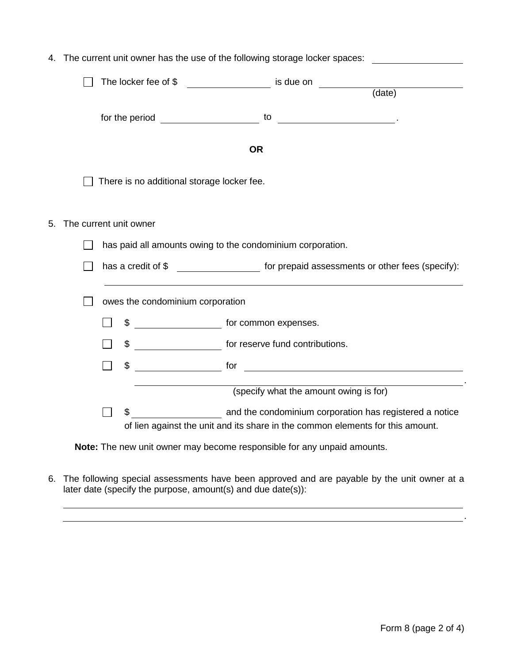|  |  |                                                            |                                            | The locker fee of \$ ______________________ is due on ___________              |  |  |  |
|--|--|------------------------------------------------------------|--------------------------------------------|--------------------------------------------------------------------------------|--|--|--|
|  |  |                                                            |                                            | (date)                                                                         |  |  |  |
|  |  |                                                            | for the period <b>container the period</b> | to<br>the contract of the contract of the con-                                 |  |  |  |
|  |  |                                                            |                                            | <b>OR</b>                                                                      |  |  |  |
|  |  |                                                            | There is no additional storage locker fee. |                                                                                |  |  |  |
|  |  |                                                            | The current unit owner                     |                                                                                |  |  |  |
|  |  | has paid all amounts owing to the condominium corporation. |                                            |                                                                                |  |  |  |
|  |  |                                                            | has a credit of \$                         | for prepaid assessments or other fees (specify):                               |  |  |  |
|  |  | owes the condominium corporation                           |                                            |                                                                                |  |  |  |
|  |  |                                                            | \$                                         | for common expenses.                                                           |  |  |  |
|  |  |                                                            |                                            | \$ ________________________ for reserve fund contributions.                    |  |  |  |
|  |  |                                                            | \$                                         | $\overline{\phantom{a}}$ for $\overline{\phantom{a}}$                          |  |  |  |
|  |  |                                                            |                                            | (specify what the amount owing is for)                                         |  |  |  |
|  |  |                                                            |                                            |                                                                                |  |  |  |
|  |  |                                                            |                                            | of lien against the unit and its share in the common elements for this amount. |  |  |  |

6. The following special assessments have been approved and are payable by the unit owner at a

later date (specify the purpose, amount(s) and due date(s)):

. . . . . . . . . . . <u>. . . . . .</u> .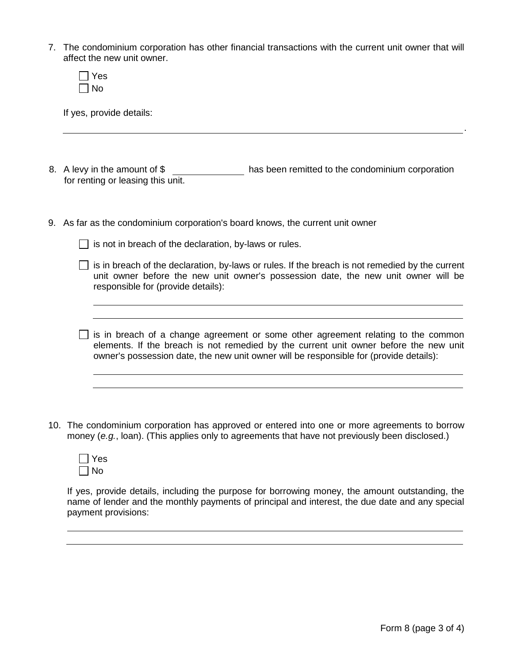7. The condominium corporation has other financial transactions with the current unit owner that will affect the new unit owner.

If yes, provide details:

- 8. A levy in the amount of \$ has been remitted to the condominium corporation for renting or leasing this unit.
- 9. As far as the condominium corporation's board knows, the current unit owner
	- $\Box$  is not in breach of the declaration, by-laws or rules.
	- $\Box$  is in breach of the declaration, by-laws or rules. If the breach is not remedied by the current unit owner before the new unit owner's possession date, the new unit owner will be responsible for (provide details):
	- $\Box$  is in breach of a change agreement or some other agreement relating to the common elements. If the breach is not remedied by the current unit owner before the new unit owner's possession date, the new unit owner will be responsible for (provide details):
- 10. The condominium corporation has approved or entered into one or more agreements to borrow money (*e.g.*, loan). (This applies only to agreements that have not previously been disclosed.)

| es     |
|--------|
| N<br>n |

If yes, provide details, including the purpose for borrowing money, the amount outstanding, the name of lender and the monthly payments of principal and interest, the due date and any special payment provisions:

.